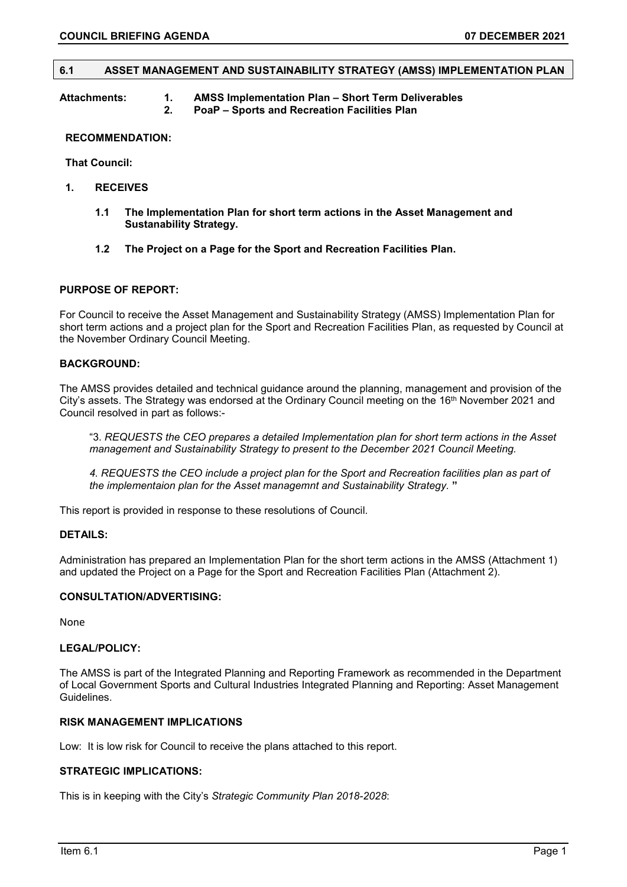#### **6.1 ASSET MANAGEMENT AND SUSTAINABILITY STRATEGY (AMSS) IMPLEMENTATION PLAN**

#### **Attachments: 1. AMSS Implementation Plan – Short Term Deliverables 2. PoaP – Sports and Recreation Facilities Plan**

#### **RECOMMENDATION:**

**That Council:**

- **1. RECEIVES** 
	- **1.1 The Implementation Plan for short term actions in the Asset Management and Sustanability Strategy.**
	- **1.2 The Project on a Page for the Sport and Recreation Facilities Plan.**

#### **PURPOSE OF REPORT:**

For Council to receive the Asset Management and Sustainability Strategy (AMSS) Implementation Plan for short term actions and a project plan for the Sport and Recreation Facilities Plan, as requested by Council at the November Ordinary Council Meeting.

#### **BACKGROUND:**

The AMSS provides detailed and technical guidance around the planning, management and provision of the City's assets. The Strategy was endorsed at the Ordinary Council meeting on the 16th November 2021 and Council resolved in part as follows:-

"3. *REQUESTS the CEO prepares a detailed Implementation plan for short term actions in the Asset management and Sustainability Strategy to present to the December 2021 Council Meeting.*

*4. REQUESTS the CEO include a project plan for the Sport and Recreation facilities plan as part of the implementaion plan for the Asset managemnt and Sustainability Strategy.* **"**

This report is provided in response to these resolutions of Council.

### **DETAILS:**

Administration has prepared an Implementation Plan for the short term actions in the AMSS (Attachment 1) and updated the Project on a Page for the Sport and Recreation Facilities Plan (Attachment 2).

### **CONSULTATION/ADVERTISING:**

None

#### **LEGAL/POLICY:**

The AMSS is part of the Integrated Planning and Reporting Framework as recommended in the Department of Local Government Sports and Cultural Industries Integrated Planning and Reporting: Asset Management Guidelines.

### **RISK MANAGEMENT IMPLICATIONS**

Low: It is low risk for Council to receive the plans attached to this report.

#### **STRATEGIC IMPLICATIONS:**

This is in keeping with the City's *Strategic Community Plan 2018-2028*: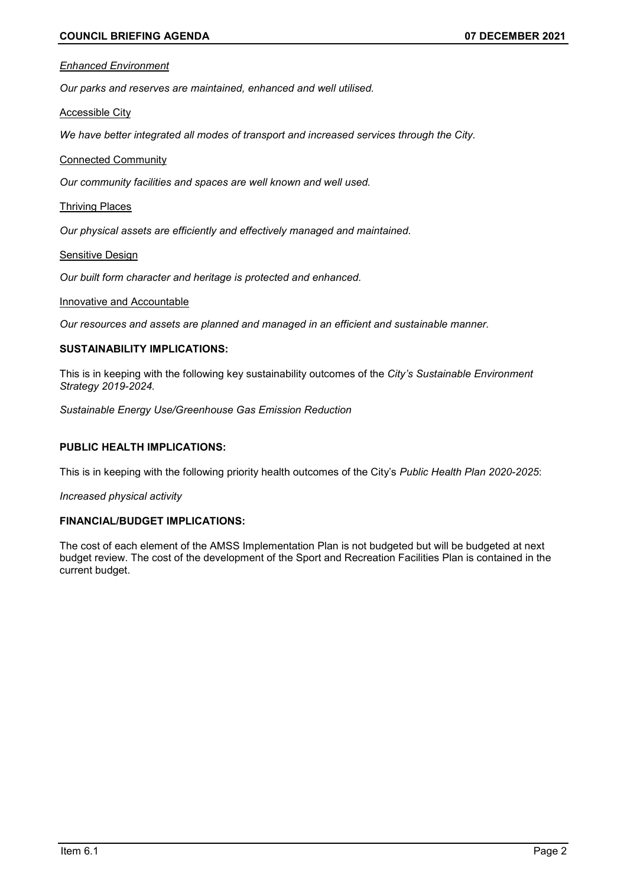#### *Enhanced Environment*

*Our parks and reserves are maintained, enhanced and well utilised.*

Accessible City

*We have better integrated all modes of transport and increased services through the City.*

### Connected Community

*Our community facilities and spaces are well known and well used.*

#### Thriving Places

*Our physical assets are efficiently and effectively managed and maintained.*

#### Sensitive Design

*Our built form character and heritage is protected and enhanced.*

#### Innovative and Accountable

*Our resources and assets are planned and managed in an efficient and sustainable manner.*

## **SUSTAINABILITY IMPLICATIONS:**

This is in keeping with the following key sustainability outcomes of the *City's Sustainable Environment Strategy 2019-2024.* 

*Sustainable Energy Use/Greenhouse Gas Emission Reduction*

## **PUBLIC HEALTH IMPLICATIONS:**

This is in keeping with the following priority health outcomes of the City's *Public Health Plan 2020-2025*:

*Increased physical activity*

### **FINANCIAL/BUDGET IMPLICATIONS:**

The cost of each element of the AMSS Implementation Plan is not budgeted but will be budgeted at next budget review. The cost of the development of the Sport and Recreation Facilities Plan is contained in the current budget.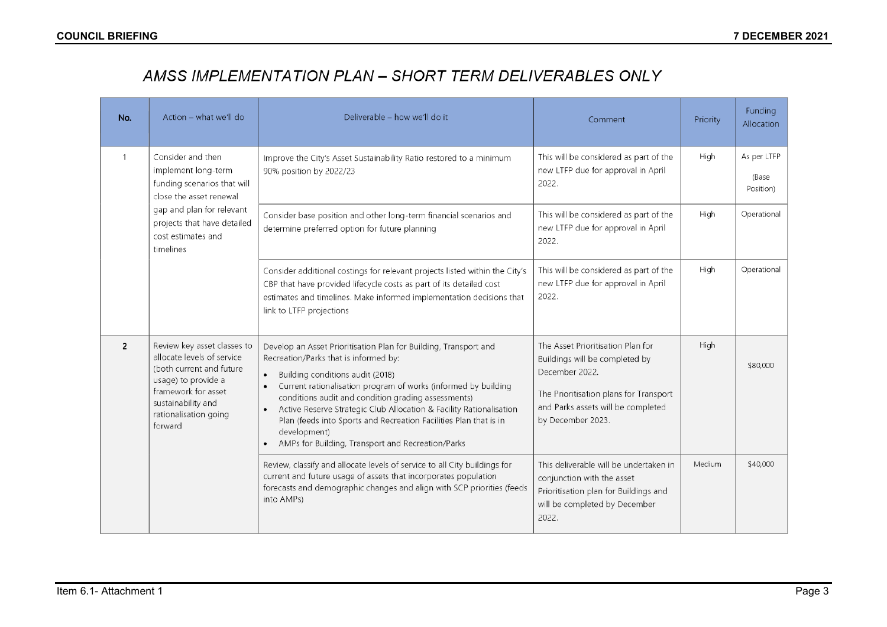# AMSS IMPLEMENTATION PLAN - SHORT TERM DELIVERABLES ONLY

| No.                                                                                         | Action - what we'll do                                                                                                                                                                        | Deliverable - how we'll do it                                                                                                                                                                                                                                                                                                                                                                                                                                                                        | Comment                                                                                                                                                                                    | Priority | Funding<br>Allocation             |
|---------------------------------------------------------------------------------------------|-----------------------------------------------------------------------------------------------------------------------------------------------------------------------------------------------|------------------------------------------------------------------------------------------------------------------------------------------------------------------------------------------------------------------------------------------------------------------------------------------------------------------------------------------------------------------------------------------------------------------------------------------------------------------------------------------------------|--------------------------------------------------------------------------------------------------------------------------------------------------------------------------------------------|----------|-----------------------------------|
| $\mathbf{1}$                                                                                | Consider and then<br>implement long-term<br>funding scenarios that will<br>close the asset renewal                                                                                            | Improve the City's Asset Sustainability Ratio restored to a minimum<br>90% position by 2022/23                                                                                                                                                                                                                                                                                                                                                                                                       | This will be considered as part of the<br>new LTFP due for approval in April<br>2022.                                                                                                      | High     | As per LTFP<br>(Base<br>Position) |
| gap and plan for relevant<br>projects that have detailed<br>cost estimates and<br>timelines |                                                                                                                                                                                               | Consider base position and other long-term financial scenarios and<br>determine preferred option for future planning                                                                                                                                                                                                                                                                                                                                                                                 | This will be considered as part of the<br>new LTFP due for approval in April<br>2022.                                                                                                      | High     | Operational                       |
|                                                                                             |                                                                                                                                                                                               | Consider additional costings for relevant projects listed within the City's<br>CBP that have provided lifecycle costs as part of its detailed cost<br>estimates and timelines. Make informed implementation decisions that<br>link to LTFP projections                                                                                                                                                                                                                                               | This will be considered as part of the<br>new LTFP due for approval in April<br>2022.                                                                                                      | High     | Operational                       |
| $\overline{2}$                                                                              | Review key asset classes to<br>allocate levels of service<br>(both current and future<br>usage) to provide a<br>framework for asset<br>sustainability and<br>rationalisation going<br>forward | Develop an Asset Prioritisation Plan for Building, Transport and<br>Recreation/Parks that is informed by:<br>Building conditions audit (2018)<br>$\bullet$<br>Current rationalisation program of works (informed by building<br>conditions audit and condition grading assessments)<br>Active Reserve Strategic Club Allocation & Facility Rationalisation<br>Plan (feeds into Sports and Recreation Facilities Plan that is in<br>development)<br>AMPs for Building, Transport and Recreation/Parks | The Asset Prioritisation Plan for<br>Buildings will be completed by<br>December 2022.<br>The Prioritisation plans for Transport<br>and Parks assets will be completed<br>by December 2023. | High     | \$80,000                          |
|                                                                                             |                                                                                                                                                                                               | Review, classify and allocate levels of service to all City buildings for<br>current and future usage of assets that incorporates population<br>forecasts and demographic changes and align with SCP priorities (feeds<br>into AMPs)                                                                                                                                                                                                                                                                 | This deliverable will be undertaken in<br>conjunction with the asset<br>Prioritisation plan for Buildings and<br>will be completed by December<br>2022.                                    | Medium   | \$40,000                          |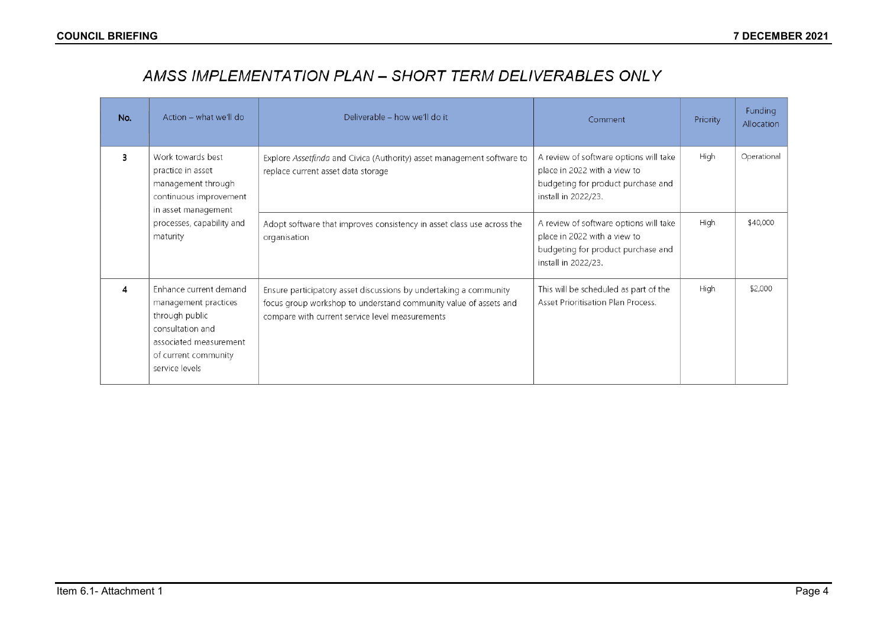# AMSS IMPLEMENTATION PLAN - SHORT TERM DELIVERABLES ONLY

| No. | Action - what we'll do                                                                                                                                   | Deliverable - how we'll do it                                                                                                                                                            | Comment                                                                                                                             | Priority | Funding<br>Allocation |
|-----|----------------------------------------------------------------------------------------------------------------------------------------------------------|------------------------------------------------------------------------------------------------------------------------------------------------------------------------------------------|-------------------------------------------------------------------------------------------------------------------------------------|----------|-----------------------|
| 3   | Work towards best<br>practice in asset<br>management through<br>continuous improvement<br>in asset management                                            | Explore Assetfinda and Civica (Authority) asset management software to<br>replace current asset data storage                                                                             | A review of software options will take<br>place in 2022 with a view to<br>budgeting for product purchase and<br>install in 2022/23. | High     | Operational           |
|     | processes, capability and<br>maturity                                                                                                                    | Adopt software that improves consistency in asset class use across the<br>organisation                                                                                                   | A review of software options will take<br>place in 2022 with a view to<br>budgeting for product purchase and<br>install in 2022/23. | High     | \$40,000              |
| 4   | Enhance current demand<br>management practices<br>through public<br>consultation and<br>associated measurement<br>of current community<br>service levels | Ensure participatory asset discussions by undertaking a community<br>focus group workshop to understand community value of assets and<br>compare with current service level measurements | This will be scheduled as part of the<br>Asset Prioritisation Plan Process.                                                         | High     | \$2,000               |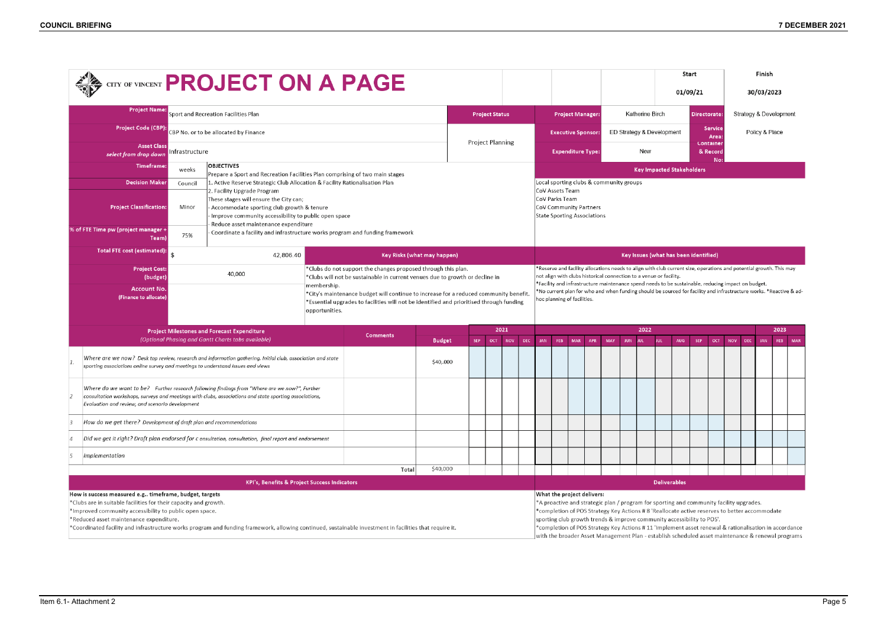# **COUNCIL BRIEFING 7 DECEMBER 2021**



|    | $\clubsuit$ city of vincent ${\sf PROJECT}$ ON A PAGE                                                                                                                                                                                                             |         |                                                                                                                                                                                                         |  |                             |                            |                         |                     |                         |                                                                                                                                                                                                                                                                                               | Start<br>01/09/21                       |                                                                                                                    |                            |                           | Finish<br>30/03/2023                                                                                                                                                                                                                                                                                                                                                                                                                                                           |             |                                  |                        |                        |                |            |            |            |            |     |     |
|----|-------------------------------------------------------------------------------------------------------------------------------------------------------------------------------------------------------------------------------------------------------------------|---------|---------------------------------------------------------------------------------------------------------------------------------------------------------------------------------------------------------|--|-----------------------------|----------------------------|-------------------------|---------------------|-------------------------|-----------------------------------------------------------------------------------------------------------------------------------------------------------------------------------------------------------------------------------------------------------------------------------------------|-----------------------------------------|--------------------------------------------------------------------------------------------------------------------|----------------------------|---------------------------|--------------------------------------------------------------------------------------------------------------------------------------------------------------------------------------------------------------------------------------------------------------------------------------------------------------------------------------------------------------------------------------------------------------------------------------------------------------------------------|-------------|----------------------------------|------------------------|------------------------|----------------|------------|------------|------------|------------|-----|-----|
|    | <b>Project Name:</b><br>Sport and Recreation Facilities Plan                                                                                                                                                                                                      |         |                                                                                                                                                                                                         |  |                             | <b>Project Status</b>      |                         |                     | <b>Project Manager:</b> |                                                                                                                                                                                                                                                                                               |                                         | Katherine Birch                                                                                                    |                            |                           |                                                                                                                                                                                                                                                                                                                                                                                                                                                                                | Directorate |                                  | Strategy & Development |                        |                |            |            |            |            |     |     |
|    | <b>Project Code (CBP):</b><br>CBP No. or to be allocated by Finance                                                                                                                                                                                               |         |                                                                                                                                                                                                         |  |                             |                            |                         |                     |                         | <b>Executive Sponsor:</b>                                                                                                                                                                                                                                                                     |                                         |                                                                                                                    |                            | ED Strategy & Development |                                                                                                                                                                                                                                                                                                                                                                                                                                                                                |             |                                  |                        | <b>Service</b><br>Area | Policy & Place |            |            |            |            |     |     |
|    | <b>Asset Class</b><br>Infrastructure<br>select from drop down                                                                                                                                                                                                     |         |                                                                                                                                                                                                         |  |                             |                            | <b>Project Planning</b> |                     |                         |                                                                                                                                                                                                                                                                                               | <b>Expenditure Type:</b>                |                                                                                                                    |                            |                           | Container<br>New<br>& Record                                                                                                                                                                                                                                                                                                                                                                                                                                                   |             |                                  |                        |                        |                |            |            |            |            |     |     |
|    | <b>Timeframe:</b>                                                                                                                                                                                                                                                 | weeks   | <b>OBJECTIVES</b><br>Prepare a Sport and Recreation Facilities Plan comprising of two main stages                                                                                                       |  |                             |                            |                         |                     |                         |                                                                                                                                                                                                                                                                                               |                                         |                                                                                                                    |                            |                           |                                                                                                                                                                                                                                                                                                                                                                                                                                                                                |             | <b>Key Impacted Stakeholders</b> |                        |                        |                | No:        |            |            |            |     |     |
|    | <b>Decision Maker</b>                                                                                                                                                                                                                                             | Council | 1. Active Reserve Strategic Club Allocation & Facility Rationalisation Plan                                                                                                                             |  |                             |                            |                         |                     |                         |                                                                                                                                                                                                                                                                                               | Local sporting clubs & community groups |                                                                                                                    |                            |                           |                                                                                                                                                                                                                                                                                                                                                                                                                                                                                |             |                                  |                        |                        |                |            |            |            |            |     |     |
|    | 2. Facility Upgrade Program<br>These stages will ensure the City can;<br><b>Project Classification:</b><br>Minor<br>Accommodate sporting club growth & tenure<br>Improve community accessibility to public open space                                             |         |                                                                                                                                                                                                         |  |                             |                            |                         |                     |                         | CoV Assets Team<br>CoV Parks Team<br>CoV Community Partners<br><b>State Sporting Associations</b>                                                                                                                                                                                             |                                         |                                                                                                                    |                            |                           |                                                                                                                                                                                                                                                                                                                                                                                                                                                                                |             |                                  |                        |                        |                |            |            |            |            |     |     |
|    | % of FTE Time pw (project manager +<br>Team)                                                                                                                                                                                                                      | 75%     | Reduce asset maintenance expenditure<br>Coordinate a facility and infrastructure works program and funding framework                                                                                    |  |                             |                            |                         |                     |                         |                                                                                                                                                                                                                                                                                               |                                         |                                                                                                                    |                            |                           |                                                                                                                                                                                                                                                                                                                                                                                                                                                                                |             |                                  |                        |                        |                |            |            |            |            |     |     |
|    | Total FTE cost (estimated):                                                                                                                                                                                                                                       | \$      | 42,806.40                                                                                                                                                                                               |  | Key Risks (what may happen) |                            |                         |                     |                         |                                                                                                                                                                                                                                                                                               | Key Issues (what has been identified)   |                                                                                                                    |                            |                           |                                                                                                                                                                                                                                                                                                                                                                                                                                                                                |             |                                  |                        |                        |                |            |            |            |            |     |     |
|    | *Clubs do not support the changes proposed through this plan.<br><b>Project Cost:</b><br>40,000<br>*Clubs will not be sustainable in current venues due to growth or decline in<br>(budget)                                                                       |         |                                                                                                                                                                                                         |  |                             |                            |                         |                     |                         | *Reserve and facility allocations needs to align with club current size, operations and potential growth. This may<br>not align with clubs historical connection to a venue or facility.<br>Facility and infrastructure maintenance spend needs to be sustainable, reducing impact on budget. |                                         |                                                                                                                    |                            |                           |                                                                                                                                                                                                                                                                                                                                                                                                                                                                                |             |                                  |                        |                        |                |            |            |            |            |     |     |
|    | membership.<br><b>Account No.</b><br>*City's maintenance budget will continue to increase for a reduced community benefit.<br>(Finance to allocate)<br>*Essential upgrades to facilities will not be identified and prioritised through funding<br>opportunities. |         |                                                                                                                                                                                                         |  |                             |                            |                         |                     |                         | hoc planning of facilities.                                                                                                                                                                                                                                                                   |                                         | *No current plan for who and when funding should be sourced for facility and infrastructure works. *Reactive & ad- |                            |                           |                                                                                                                                                                                                                                                                                                                                                                                                                                                                                |             |                                  |                        |                        |                |            |            |            |            |     |     |
|    |                                                                                                                                                                                                                                                                   |         | <b>Project Milestones and Forecast Expenditure</b><br>(Optional Phasing and Gantt Charts tabs available)                                                                                                |  | <b>Comments</b>             |                            | 2021                    |                     |                         |                                                                                                                                                                                                                                                                                               |                                         |                                                                                                                    |                            | 2022                      |                                                                                                                                                                                                                                                                                                                                                                                                                                                                                |             |                                  |                        |                        | 2023           |            |            |            |            |     |     |
| 1. | sporting associations online survey and meetings to understand issues and views                                                                                                                                                                                   |         | Where are we now? Desk top review, research and information gathering. Initial club, association and state                                                                                              |  |                             | <b>Budget</b><br>\$40,.000 | <b>SEP</b>              | <b>OCT</b>          | <b>NOV</b>              | <b>DEC</b>                                                                                                                                                                                                                                                                                    | JAN                                     | FEB                                                                                                                | <b>MAR</b>                 | APR                       | MAY                                                                                                                                                                                                                                                                                                                                                                                                                                                                            | <b>JUN</b>  |                                  | JUL.                   | <b>AUG</b>             | <b>SEP</b>     | <b>OCT</b> | <b>NOV</b> | <b>DEC</b> | <b>JAN</b> | FEB | MAR |
|    | Evaluation and review, and scenario development                                                                                                                                                                                                                   |         | Where do we want to be? Further research following findings from "Where are we now?", Further<br>consultation workshops, surveys and meetinas with clubs, associations and state sportina associations, |  |                             |                            |                         |                     |                         |                                                                                                                                                                                                                                                                                               |                                         |                                                                                                                    |                            |                           |                                                                                                                                                                                                                                                                                                                                                                                                                                                                                |             |                                  |                        |                        |                |            |            |            |            |     |     |
| 3  | How do we get there? Development of draft plan and recommendations                                                                                                                                                                                                |         |                                                                                                                                                                                                         |  |                             |                            |                         |                     |                         |                                                                                                                                                                                                                                                                                               |                                         |                                                                                                                    |                            |                           |                                                                                                                                                                                                                                                                                                                                                                                                                                                                                |             |                                  |                        |                        |                |            |            |            |            |     |     |
|    | Did we get it right? Draft plan endorsed for c onsultation, consultation, final report and endorsement                                                                                                                                                            |         |                                                                                                                                                                                                         |  |                             |                            |                         |                     |                         |                                                                                                                                                                                                                                                                                               |                                         |                                                                                                                    |                            |                           |                                                                                                                                                                                                                                                                                                                                                                                                                                                                                |             |                                  |                        |                        |                |            |            |            |            |     |     |
| 5  | Implementation                                                                                                                                                                                                                                                    |         |                                                                                                                                                                                                         |  |                             |                            |                         |                     |                         |                                                                                                                                                                                                                                                                                               |                                         |                                                                                                                    |                            |                           |                                                                                                                                                                                                                                                                                                                                                                                                                                                                                |             |                                  |                        |                        |                |            |            |            |            |     |     |
|    |                                                                                                                                                                                                                                                                   |         |                                                                                                                                                                                                         |  | Total                       | \$40,000                   |                         |                     |                         |                                                                                                                                                                                                                                                                                               |                                         |                                                                                                                    |                            |                           |                                                                                                                                                                                                                                                                                                                                                                                                                                                                                |             |                                  |                        |                        |                |            |            |            |            |     |     |
|    | <b>KPI's, Benefits &amp; Project Success Indicators</b>                                                                                                                                                                                                           |         |                                                                                                                                                                                                         |  |                             |                            |                         | <b>Deliverables</b> |                         |                                                                                                                                                                                                                                                                                               |                                         |                                                                                                                    |                            |                           |                                                                                                                                                                                                                                                                                                                                                                                                                                                                                |             |                                  |                        |                        |                |            |            |            |            |     |     |
|    | How is success measured e.g timeframe, budget, targets<br>*Clubs are in suitable facilities for their capacity and growth.<br>*Improved community accessibility to public open space.<br>*Reduced asset maintenance expenditure.                                  |         | *Coordinated facility and infrastructure works program and funding framework, allowing continued, sustainable investment in facilities that require it.                                                 |  |                             |                            |                         |                     |                         |                                                                                                                                                                                                                                                                                               |                                         |                                                                                                                    | What the project delivers: |                           | *A proactive and strategic plan / program for sporting and community facility upgrades.<br>*completion of POS Strategy Key Actions #8 'Reallocate active reserves to better accommodate<br>sporting club growth trends & improve community accessibility to POS'.<br>*completion of POS Strategy Key Actions #11 'Implement asset renewal & rationalisation in accordance<br>with the broader Asset Management Plan - establish scheduled asset maintenance & renewal programs |             |                                  |                        |                        |                |            |            |            |            |     |     |